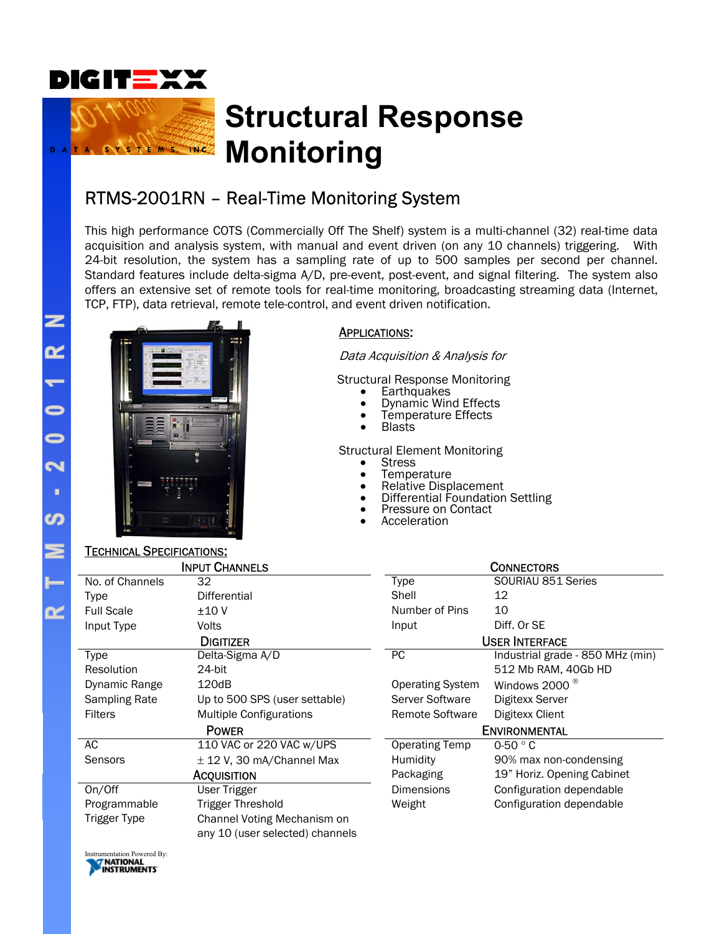

# **Structural Response Monitoring**

### RTMS-2001RN – Real-Time Monitoring System

This high performance COTS (Commercially Off The Shelf) system is a multi-channel (32) real-time data acquisition and analysis system, with manual and event driven (on any 10 channels) triggering. With 24-bit resolution, the system has a sampling rate of up to 500 samples per second per channel. Standard features include delta-sigma A/D, pre-event, post-event, and signal filtering. The system also offers an extensive set of remote tools for real-time monitoring, broadcasting streaming data (Internet, TCP, FTP), data retrieval, remote tele-control, and event driven notification.



M S. TNC

#### APPLICATIONS:

Data Acquisition & Analysis for

Structural Response Monitoring

- **Earthquakes**
- Dynamic Wind Effects
- Temperature Effects
- Blasts

Structural Element Monitoring

- **Stress**
- Temperature<br>• Relative Displ
- Relative Displacement
- Differential Foundation Settling
- Pressure on Contact<br>Acceleration
- 

| <b>TECHNICAL SPECIFICATIONS:</b> |                                 |                         |                                  |
|----------------------------------|---------------------------------|-------------------------|----------------------------------|
| <b>INPUT CHANNELS</b>            |                                 | <b>CONNECTORS</b>       |                                  |
| No. of Channels                  | 32                              | Type                    | SOURIAU 851 Series               |
| <b>Type</b>                      | Differential                    | Shell                   | 12                               |
| <b>Full Scale</b>                | ±10V                            | Number of Pins          | 10                               |
| Input Type                       | <b>Volts</b>                    | Input                   | Diff. Or SE                      |
| <b>DIGITIZER</b>                 |                                 | <b>USER INTERFACE</b>   |                                  |
| <b>Type</b>                      | Delta-Sigma A/D                 | PC                      | Industrial grade - 850 MHz (min) |
| Resolution                       | 24-bit                          |                         | 512 Mb RAM, 40Gb HD              |
| Dynamic Range                    | 120dB                           | <b>Operating System</b> | Windows 2000 <sup>®</sup>        |
| Sampling Rate                    | Up to 500 SPS (user settable)   | Server Software         | Digitexx Server                  |
| <b>Filters</b>                   | <b>Multiple Configurations</b>  | <b>Remote Software</b>  | Digitexx Client                  |
| <b>POWER</b>                     |                                 | <b>ENVIRONMENTAL</b>    |                                  |
| AC                               | 110 VAC or 220 VAC w/UPS        | <b>Operating Temp</b>   | $0-50$ $^{\circ}$ C              |
| Sensors                          | $\pm$ 12 V, 30 mA/Channel Max   | Humidity                | 90% max non-condensing           |
| <b>ACQUISITION</b>               |                                 | Packaging               | 19" Horiz. Opening Cabinet       |
| On/Off                           | User Trigger                    | <b>Dimensions</b>       | Configuration dependable         |
| Programmable                     | <b>Trigger Threshold</b>        | Weight                  | Configuration dependable         |
| Trigger Type                     | Channel Voting Mechanism on     |                         |                                  |
|                                  | any 10 (user selected) channels |                         |                                  |